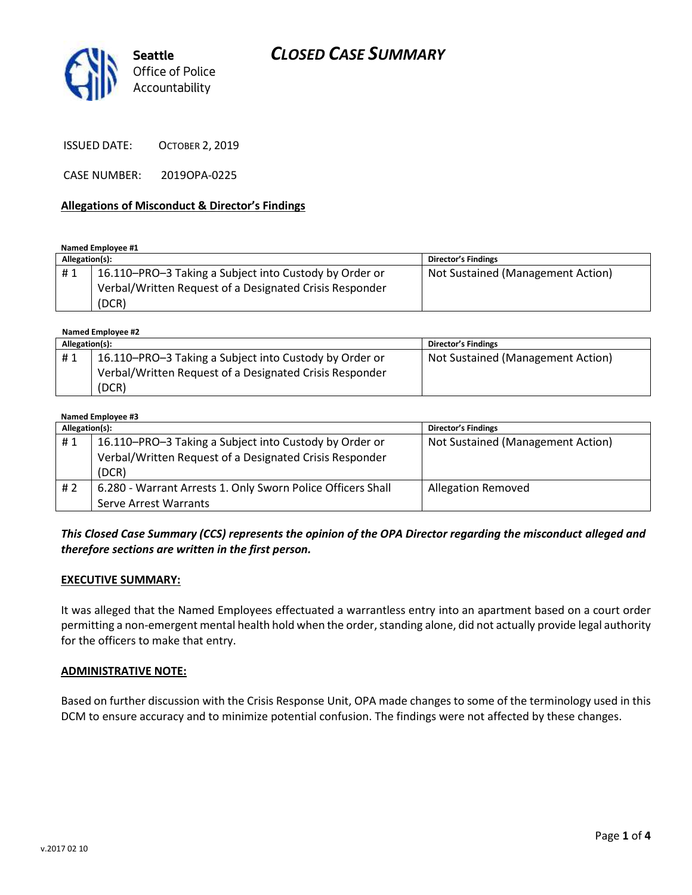

ISSUED DATE: OCTOBER 2, 2019

CASE NUMBER: 2019OPA-0225

### **Allegations of Misconduct & Director's Findings**

**Named Employee #1**

| Allegation(s): |                                                         | Director's Findings               |
|----------------|---------------------------------------------------------|-----------------------------------|
| #1             | 16.110–PRO–3 Taking a Subject into Custody by Order or  | Not Sustained (Management Action) |
|                | Verbal/Written Request of a Designated Crisis Responder |                                   |
|                | (DCR)                                                   |                                   |

 **Named Employee #2**

| Allegation(s): |                                                         | Director's Findings               |
|----------------|---------------------------------------------------------|-----------------------------------|
| #1             | 16.110-PRO-3 Taking a Subject into Custody by Order or  | Not Sustained (Management Action) |
|                | Verbal/Written Request of a Designated Crisis Responder |                                   |
|                | (DCR)                                                   |                                   |

#### **Named Employee #3**

| Allegation(s): |                                                                                                                            | <b>Director's Findings</b>        |
|----------------|----------------------------------------------------------------------------------------------------------------------------|-----------------------------------|
| #1             | 16.110–PRO–3 Taking a Subject into Custody by Order or<br>Verbal/Written Request of a Designated Crisis Responder<br>(DCR) | Not Sustained (Management Action) |
|                |                                                                                                                            |                                   |
| #2             | 6.280 - Warrant Arrests 1. Only Sworn Police Officers Shall                                                                | <b>Allegation Removed</b>         |
|                | Serve Arrest Warrants                                                                                                      |                                   |

## *This Closed Case Summary (CCS) represents the opinion of the OPA Director regarding the misconduct alleged and therefore sections are written in the first person.*

### **EXECUTIVE SUMMARY:**

It was alleged that the Named Employees effectuated a warrantless entry into an apartment based on a court order permitting a non-emergent mental health hold when the order, standing alone, did not actually provide legal authority for the officers to make that entry.

### **ADMINISTRATIVE NOTE:**

Based on further discussion with the Crisis Response Unit, OPA made changes to some of the terminology used in this DCM to ensure accuracy and to minimize potential confusion. The findings were not affected by these changes.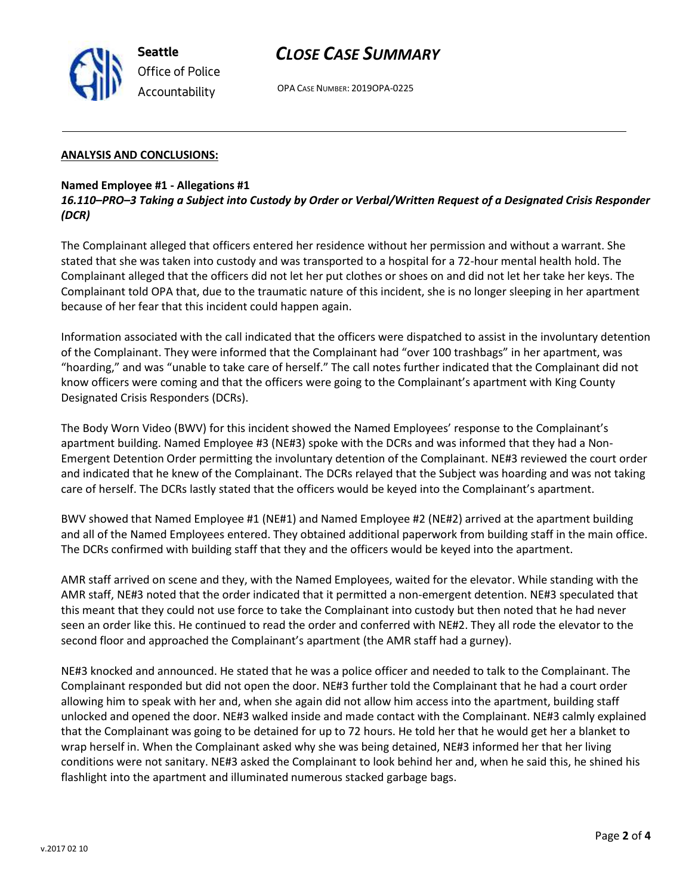

# *CLOSE CASE SUMMARY*

OPA CASE NUMBER: 2019OPA-0225

### **ANALYSIS AND CONCLUSIONS:**

### **Named Employee #1 - Allegations #1**

*16.110–PRO–3 Taking a Subject into Custody by Order or Verbal/Written Request of a Designated Crisis Responder (DCR)*

The Complainant alleged that officers entered her residence without her permission and without a warrant. She stated that she was taken into custody and was transported to a hospital for a 72-hour mental health hold. The Complainant alleged that the officers did not let her put clothes or shoes on and did not let her take her keys. The Complainant told OPA that, due to the traumatic nature of this incident, she is no longer sleeping in her apartment because of her fear that this incident could happen again.

Information associated with the call indicated that the officers were dispatched to assist in the involuntary detention of the Complainant. They were informed that the Complainant had "over 100 trashbags" in her apartment, was "hoarding," and was "unable to take care of herself." The call notes further indicated that the Complainant did not know officers were coming and that the officers were going to the Complainant's apartment with King County Designated Crisis Responders (DCRs).

The Body Worn Video (BWV) for this incident showed the Named Employees' response to the Complainant's apartment building. Named Employee #3 (NE#3) spoke with the DCRs and was informed that they had a Non-Emergent Detention Order permitting the involuntary detention of the Complainant. NE#3 reviewed the court order and indicated that he knew of the Complainant. The DCRs relayed that the Subject was hoarding and was not taking care of herself. The DCRs lastly stated that the officers would be keyed into the Complainant's apartment.

BWV showed that Named Employee #1 (NE#1) and Named Employee #2 (NE#2) arrived at the apartment building and all of the Named Employees entered. They obtained additional paperwork from building staff in the main office. The DCRs confirmed with building staff that they and the officers would be keyed into the apartment.

AMR staff arrived on scene and they, with the Named Employees, waited for the elevator. While standing with the AMR staff, NE#3 noted that the order indicated that it permitted a non-emergent detention. NE#3 speculated that this meant that they could not use force to take the Complainant into custody but then noted that he had never seen an order like this. He continued to read the order and conferred with NE#2. They all rode the elevator to the second floor and approached the Complainant's apartment (the AMR staff had a gurney).

NE#3 knocked and announced. He stated that he was a police officer and needed to talk to the Complainant. The Complainant responded but did not open the door. NE#3 further told the Complainant that he had a court order allowing him to speak with her and, when she again did not allow him access into the apartment, building staff unlocked and opened the door. NE#3 walked inside and made contact with the Complainant. NE#3 calmly explained that the Complainant was going to be detained for up to 72 hours. He told her that he would get her a blanket to wrap herself in. When the Complainant asked why she was being detained, NE#3 informed her that her living conditions were not sanitary. NE#3 asked the Complainant to look behind her and, when he said this, he shined his flashlight into the apartment and illuminated numerous stacked garbage bags.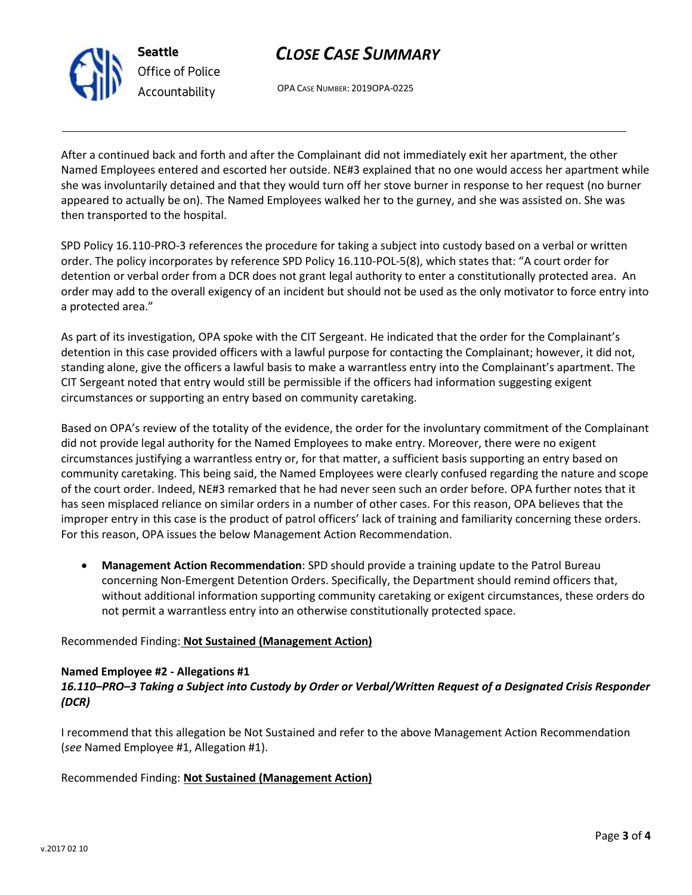

**Seattle** *Office of Police Accountability*

# *CLOSE CASE SUMMARY*

OPA CASE NUMBER: 2019OPA-0225

After a continued back and forth and after the Complainant did not immediately exit her apartment, the other Named Employees entered and escorted her outside. NE#3 explained that no one would access her apartment while she was involuntarily detained and that they would turn off her stove burner in response to her request (no burner appeared to actually be on). The Named Employees walked her to the gurney, and she was assisted on. She was then transported to the hospital.

SPD Policy 16.110-PRO-3 references the procedure for taking a subject into custody based on a verbal or written order. The policy incorporates by reference SPD Policy 16.110-POL-5(8), which states that: "A court order for detention or verbal order from a DCR does not grant legal authority to enter a constitutionally protected area. An order may add to the overall exigency of an incident but should not be used as the only motivator to force entry into a protected area."

As part of its investigation, OPA spoke with the CIT Sergeant. He indicated that the order for the Complainant's detention in this case provided officers with a lawful purpose for contacting the Complainant; however, it did not, standing alone, give the officers a lawful basis to make a warrantless entry into the Complainant's apartment. The CIT Sergeant noted that entry would still be permissible if the officers had information suggesting exigent circumstances or supporting an entry based on community caretaking.

Based on OPA's review of the totality of the evidence, the order for the involuntary commitment of the Complainant did not provide legal authority for the Named Employees to make entry. Moreover, there were no exigent circumstances justifying a warrantless entry or, for that matter, a sufficient basis supporting an entry based on community caretaking. This being said, the Named Employees were clearly confused regarding the nature and scope of the court order. Indeed, NE#3 remarked that he had never seen such an order before. OPA further notes that it has seen misplaced reliance on similar orders in a number of other cases. For this reason, OPA believes that the improper entry in this case is the product of patrol officers' lack of training and familiarity concerning these orders. For this reason, OPA issues the below Management Action Recommendation.

• **Management Action Recommendation**: SPD should provide a training update to the Patrol Bureau concerning Non-Emergent Detention Orders. Specifically, the Department should remind officers that, without additional information supporting community caretaking or exigent circumstances, these orders do not permit a warrantless entry into an otherwise constitutionally protected space.

## Recommended Finding: **Not Sustained (Management Action)**

## **Named Employee #2 - Allegations #1**

## *16.110–PRO–3 Taking a Subject into Custody by Order or Verbal/Written Request of a Designated Crisis Responder (DCR)*

I recommend that this allegation be Not Sustained and refer to the above Management Action Recommendation (*see* Named Employee #1, Allegation #1).

Recommended Finding: **Not Sustained (Management Action)**